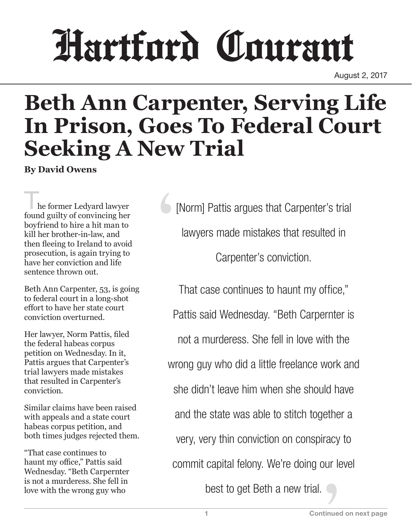## Hartford Courant

August 2, 2017

## **Beth Ann Carpenter, Serving Life In Prison, Goes To Federal Court Seeking A New Trial**

**By David Owens**

he former Ledyard lawyer found guilty of convincing her boyfriend to hire a hit man to kill her brother-in-law, and then fleeing to Ireland to avoid prosecution, is again trying to have her conviction and life sentence thrown out.

Beth Ann Carpenter, 53, is going to federal court in a long-shot effort to have her state court conviction overturned.

Her lawyer, Norm Pattis, filed the federal habeas corpus petition on Wednesday. In it, Pattis argues that Carpenter's trial lawyers made mistakes that resulted in Carpenter's conviction.

Similar claims have been raised with appeals and a state court habeas corpus petition, and both times judges rejected them.

"That case continues to haunt my office," Pattis said Wednesday. "Beth Carpernter is not a murderess. She fell in love with the wrong guy who

[Norm] Pattis argues that Carpenter's trial lawyers made mistakes that resulted in Carpenter's conviction.

That case continues to haunt my office," Pattis said Wednesday. "Beth Carpernter is not a murderess. She fell in love with the wrong guy who did a little freelance work and she didn't leave him when she should have and the state was able to stitch together a very, very thin conviction on conspiracy to commit capital felony. We're doing our level

best to get Beth a new trial.